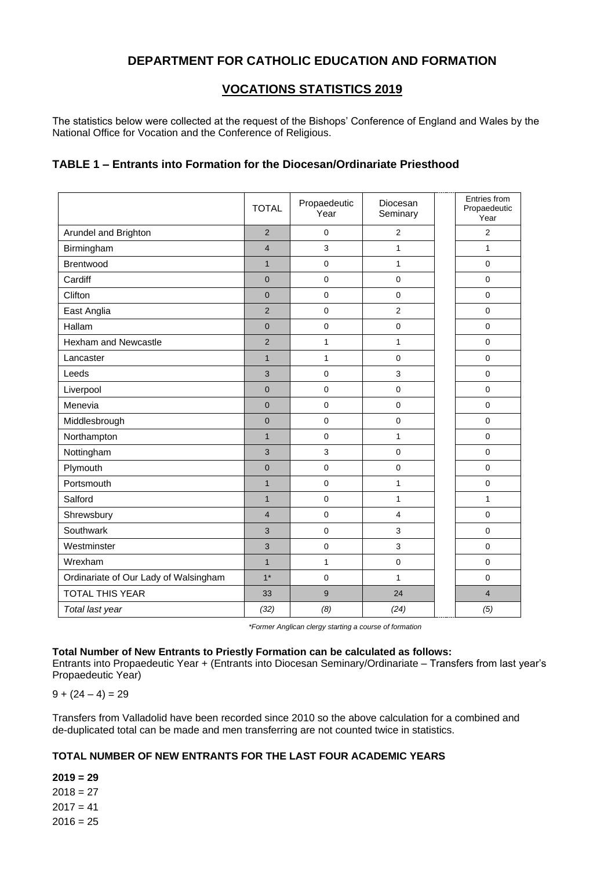# **DEPARTMENT FOR CATHOLIC EDUCATION AND FORMATION**

## **VOCATIONS STATISTICS 2019**

The statistics below were collected at the request of the Bishops' Conference of England and Wales by the National Office for Vocation and the Conference of Religious.

#### **TABLE 1 – Entrants into Formation for the Diocesan/Ordinariate Priesthood**

|                                       | <b>TOTAL</b>   | Propaedeutic<br>Year | Diocesan<br>Seminary | Entries from<br>Propaedeutic<br>Year |
|---------------------------------------|----------------|----------------------|----------------------|--------------------------------------|
| Arundel and Brighton                  | $\overline{2}$ | 0                    | $\overline{c}$       | $\overline{2}$                       |
| Birmingham                            | $\overline{4}$ | 3                    | $\mathbf{1}$         | $\mathbf{1}$                         |
| Brentwood                             | $\mathbf{1}$   | 0                    | $\mathbf{1}$         | $\mathbf 0$                          |
| Cardiff                               | $\overline{0}$ | $\pmb{0}$            | $\pmb{0}$            | $\mathbf 0$                          |
| Clifton                               | $\overline{0}$ | $\mathbf 0$          | $\mathbf 0$          | $\mathbf 0$                          |
| East Anglia                           | $\overline{2}$ | $\mathbf 0$          | $\overline{2}$       | $\mathbf 0$                          |
| Hallam                                | $\overline{0}$ | $\pmb{0}$            | $\pmb{0}$            | $\mathbf 0$                          |
| Hexham and Newcastle                  | $\overline{2}$ | $\mathbf{1}$         | $\mathbf{1}$         | $\mathbf 0$                          |
| Lancaster                             | $\mathbf{1}$   | $\mathbf{1}$         | $\mathbf 0$          | $\Omega$                             |
| Leeds                                 | 3              | $\mathbf 0$          | 3                    | $\Omega$                             |
| Liverpool                             | $\overline{0}$ | $\mathbf 0$          | $\mathbf 0$          | $\mathbf 0$                          |
| Menevia                               | $\overline{0}$ | $\mathbf 0$          | $\mathbf 0$          | $\mathbf 0$                          |
| Middlesbrough                         | $\overline{0}$ | $\mathbf 0$          | $\mathbf 0$          | $\mathbf 0$                          |
| Northampton                           | $\mathbf{1}$   | $\mathbf 0$          | $\mathbf{1}$         | $\mathbf 0$                          |
| Nottingham                            | 3              | 3                    | $\mathbf 0$          | $\mathbf 0$                          |
| Plymouth                              | $\overline{0}$ | $\mathbf 0$          | $\mathbf 0$          | $\mathbf 0$                          |
| Portsmouth                            | $\mathbf{1}$   | $\overline{0}$       | $\mathbf{1}$         | $\Omega$                             |
| Salford                               | $\mathbf{1}$   | $\mathbf 0$          | $\mathbf{1}$         | $\mathbf{1}$                         |
| Shrewsbury                            | $\overline{4}$ | $\mathbf 0$          | $\overline{4}$       | $\Omega$                             |
| Southwark                             | 3              | $\Omega$             | 3                    | $\Omega$                             |
| Westminster                           | 3              | $\mathbf 0$          | 3                    | $\Omega$                             |
| Wrexham                               | $\mathbf{1}$   | $\mathbf{1}$         | $\mathbf 0$          | $\mathbf 0$                          |
| Ordinariate of Our Lady of Walsingham | $1*$           | $\Omega$             | $\mathbf{1}$         | $\mathbf 0$                          |
| <b>TOTAL THIS YEAR</b>                | 33             | 9                    | 24                   | $\overline{4}$                       |
| Total last year                       | (32)           | (8)                  | (24)                 | (5)                                  |

*\*Former Anglican clergy starting a course of formation*

#### **Total Number of New Entrants to Priestly Formation can be calculated as follows:**

Entrants into Propaedeutic Year + (Entrants into Diocesan Seminary/Ordinariate – Transfers from last year's Propaedeutic Year)

 $9 + (24 - 4) = 29$ 

Transfers from Valladolid have been recorded since 2010 so the above calculation for a combined and de-duplicated total can be made and men transferring are not counted twice in statistics.

#### **TOTAL NUMBER OF NEW ENTRANTS FOR THE LAST FOUR ACADEMIC YEARS**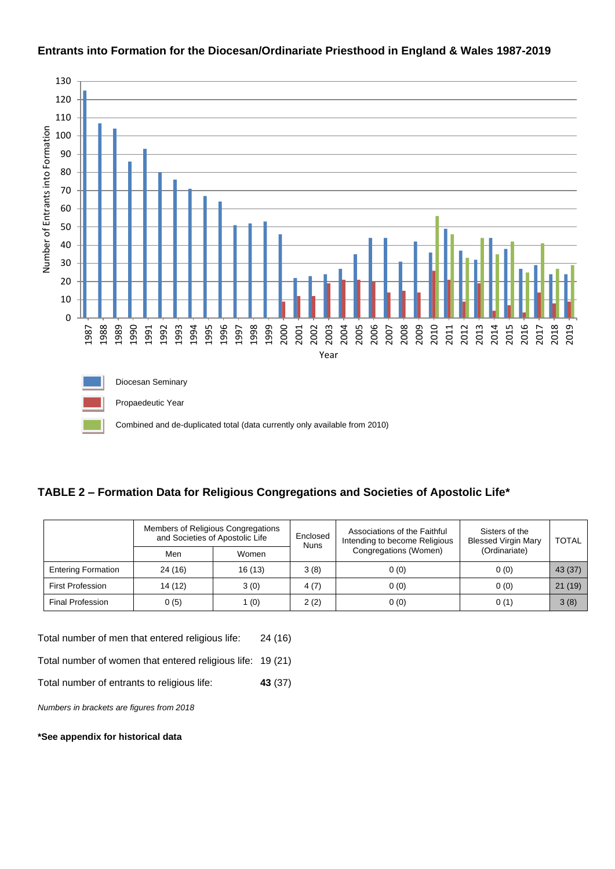

#### **Entrants into Formation for the Diocesan/Ordinariate Priesthood in England & Wales 1987-2019**

## **TABLE 2 – Formation Data for Religious Congregations and Societies of Apostolic Life\***

|                           | Members of Religious Congregations<br>and Societies of Apostolic Life |        | Enclosed<br><b>Nuns</b> | Associations of the Faithful<br>Intending to become Religious | Sisters of the<br><b>Blessed Virgin Mary</b> | <b>TOTAL</b> |
|---------------------------|-----------------------------------------------------------------------|--------|-------------------------|---------------------------------------------------------------|----------------------------------------------|--------------|
|                           | Men                                                                   | Women  |                         | Congregations (Women)                                         | (Ordinariate)                                |              |
| <b>Entering Formation</b> | 24 (16)                                                               | 16(13) | 3(8)                    | 0(0)                                                          | 0(0)                                         | 43 (37)      |
| <b>First Profession</b>   | 14 (12)                                                               | 3(0)   | 4(7)                    | 0(0)                                                          | 0(0)                                         | 21(19)       |
| <b>Final Profession</b>   | 0(5)                                                                  | 1 (0)  | 2(2)                    | 0(0)                                                          | 0(1)                                         | 3(8)         |

Total number of men that entered religious life: 24 (16)

Total number of women that entered religious life: 19 (21)

Total number of entrants to religious life: **43** (37)

*Numbers in brackets are figures from 2018*

**\*See appendix for historical data**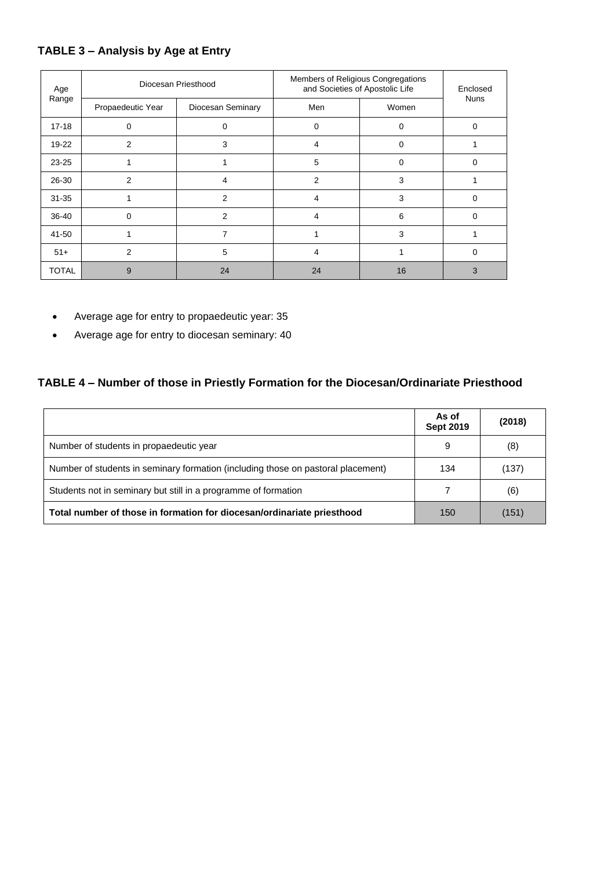# **TABLE 3 – Analysis by Age at Entry**

| Age<br>Range | Diocesan Priesthood |                   | Members of Religious Congregations<br>and Societies of Apostolic Life | Enclosed |             |
|--------------|---------------------|-------------------|-----------------------------------------------------------------------|----------|-------------|
|              | Propaedeutic Year   | Diocesan Seminary | Men                                                                   | Women    | <b>Nuns</b> |
| $17 - 18$    | 0                   | 0                 | 0                                                                     | 0        | $\Omega$    |
| $19 - 22$    | 2                   | 3                 | 4                                                                     | 0        |             |
| $23 - 25$    |                     |                   | 5                                                                     | $\Omega$ | $\Omega$    |
| 26-30        | 2                   | 4                 | $\overline{2}$                                                        | 3        |             |
| $31 - 35$    |                     | 2                 | 4                                                                     | 3        | $\Omega$    |
| 36-40        | $\Omega$            | 2                 | 4                                                                     | 6        | $\Omega$    |
| 41-50        |                     | 7                 |                                                                       | 3        |             |
| $51+$        | 2                   | 5                 | 4                                                                     |          | 0           |
| <b>TOTAL</b> | 9                   | 24                | 24                                                                    | 16       | 3           |

- Average age for entry to propaedeutic year: 35
- Average age for entry to diocesan seminary: 40

# **TABLE 4 – Number of those in Priestly Formation for the Diocesan/Ordinariate Priesthood**

|                                                                                  | As of<br><b>Sept 2019</b> | (2018) |
|----------------------------------------------------------------------------------|---------------------------|--------|
| Number of students in propaedeutic year                                          | 9                         | (8)    |
| Number of students in seminary formation (including those on pastoral placement) | 134                       | (137)  |
| Students not in seminary but still in a programme of formation                   |                           | (6)    |
| Total number of those in formation for diocesan/ordinariate priesthood           | 150                       | (151)  |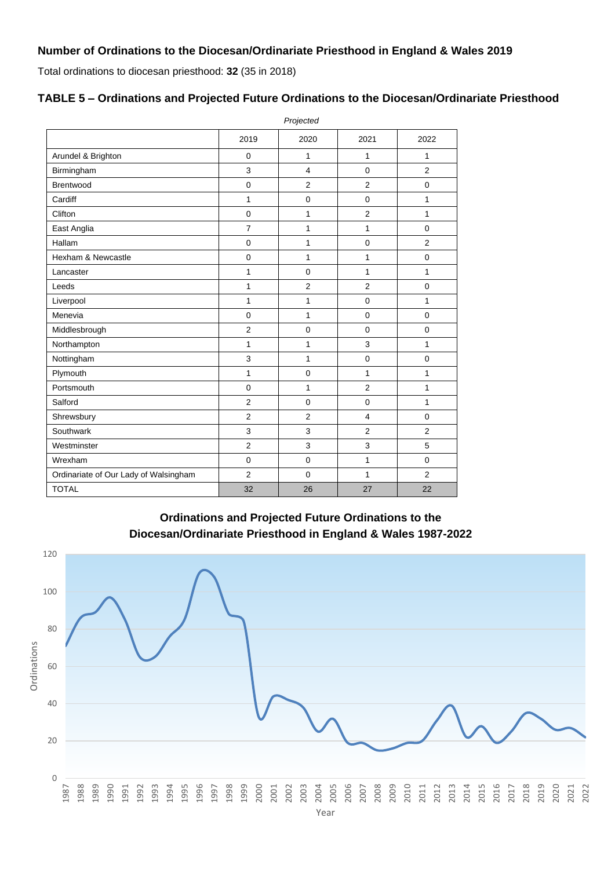# **Number of Ordinations to the Diocesan/Ordinariate Priesthood in England & Wales 2019**

Total ordinations to diocesan priesthood: **32** (35 in 2018)

|                                       | Projected               |                |                |                |  |  |
|---------------------------------------|-------------------------|----------------|----------------|----------------|--|--|
|                                       | 2019                    | 2020           | 2021           | 2022           |  |  |
| Arundel & Brighton                    | $\mathbf 0$             | 1              | 1              | 1              |  |  |
| Birmingham                            | 3                       | $\overline{4}$ | $\overline{0}$ | $\overline{2}$ |  |  |
| <b>Brentwood</b>                      | $\mathbf 0$             | 2              | $\overline{2}$ | 0              |  |  |
| Cardiff                               | 1                       | $\pmb{0}$      | $\mathbf 0$    | 1              |  |  |
| Clifton                               | $\mathbf 0$             | 1              | $\overline{2}$ | 1              |  |  |
| East Anglia                           | $\overline{\mathbf{7}}$ | $\mathbf{1}$   | $\mathbf{1}$   | $\mathbf 0$    |  |  |
| Hallam                                | $\mathbf 0$             | $\mathbf{1}$   | $\Omega$       | $\overline{2}$ |  |  |
| Hexham & Newcastle                    | $\mathbf 0$             | $\mathbf{1}$   | $\mathbf{1}$   | $\pmb{0}$      |  |  |
| Lancaster                             | $\mathbf{1}$            | $\mathbf 0$    | $\mathbf{1}$   | 1              |  |  |
| Leeds                                 | $\mathbf{1}$            | $\overline{c}$ | $\overline{2}$ | $\pmb{0}$      |  |  |
| Liverpool                             | $\mathbf{1}$            | $\mathbf{1}$   | $\mathbf 0$    | $\mathbf{1}$   |  |  |
| Menevia                               | $\pmb{0}$               | $\mathbf{1}$   | $\mathbf 0$    | $\pmb{0}$      |  |  |
| Middlesbrough                         | $\overline{2}$          | $\mathbf 0$    | $\mathbf 0$    | 0              |  |  |
| Northampton                           | $\mathbf{1}$            | $\mathbf{1}$   | 3              | 1              |  |  |
| Nottingham                            | 3                       | $\mathbf{1}$   | $\mathbf 0$    | 0              |  |  |
| Plymouth                              | 1                       | $\pmb{0}$      | $\mathbf{1}$   | 1              |  |  |
| Portsmouth                            | $\mathbf 0$             | 1              | $\overline{2}$ | 1              |  |  |
| Salford                               | $\overline{2}$          | $\mathbf 0$    | $\mathbf 0$    | 1              |  |  |
| Shrewsbury                            | $\overline{2}$          | $\overline{2}$ | $\overline{4}$ | 0              |  |  |
| Southwark                             | 3                       | 3              | $\overline{2}$ | $\overline{2}$ |  |  |
| Westminster                           | $\overline{2}$          | 3              | 3              | 5              |  |  |
| Wrexham                               | $\mathbf 0$             | $\pmb{0}$      | 1              | $\pmb{0}$      |  |  |
| Ordinariate of Our Lady of Walsingham | $\overline{2}$          | $\Omega$       | $\mathbf{1}$   | $\overline{2}$ |  |  |
| <b>TOTAL</b>                          | 32                      | 26             | 27             | 22             |  |  |

## **TABLE 5 – Ordinations and Projected Future Ordinations to the Diocesan/Ordinariate Priesthood**

**Ordinations and Projected Future Ordinations to the Diocesan/Ordinariate Priesthood in England & Wales 1987-2022**